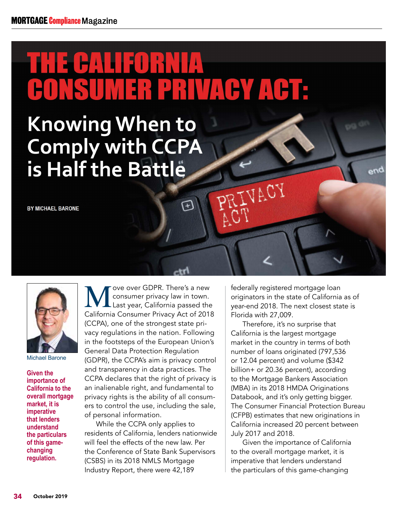## THE CALIFORNIA ER PRIVACY ACTE

卬

## **Knowing When to Comply with CCPA is Half the Battle**

**BY MICHAEL BARONE**



Michael Barone

**Given the importance of California to the overall mortgage market, it is imperative that lenders understand the particulars of this gamechanging regulation.**

We over GDPR. There's a new<br>
Consumer privacy law in town.<br>
California Consumer Privacy Act of 2011 consumer privacy law in town. Last year, California passed the California Consumer Privacy Act of 2018 (CCPA), one of the strongest state privacy regulations in the nation. Following in the footsteps of the European Union's General Data Protection Regulation (GDPR), the CCPA's aim is privacy control and transparency in data practices. The CCPA declares that the right of privacy is an inalienable right, and fundamental to privacy rights is the ability of all consumers to control the use, including the sale, of personal information.

While the CCPA only applies to residents of California, lenders nationwide will feel the effects of the new law. Per the Conference of State Bank Supervisors (CSBS) in its 2018 NMLS Mortgage Industry Report, there were 42,189

federally registered mortgage loan originators in the state of California as of year-end 2018. The next closest state is Florida with 27,009.

PRIVACY

Therefore, it's no surprise that California is the largest mortgage market in the country in terms of both number of loans originated (797,536 or 12.04 percent) and volume (\$342 billion+ or 20.36 percent), according to the Mortgage Bankers Association (MBA) in its 2018 HMDA Originations Databook, and it's only getting bigger. The Consumer Financial Protection Bureau (CFPB) estimates that new originations in California increased 20 percent between July 2017 and 2018.

Given the importance of California to the overall mortgage market, it is imperative that lenders understand the particulars of this game-changing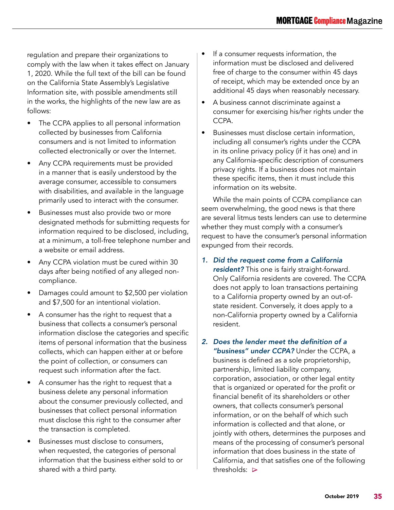regulation and prepare their organizations to comply with the law when it takes effect on January 1, 2020. While the full text of the bill can be found on the California State Assembly's Legislative Information site, with possible amendments still in the works, the highlights of the new law are as follows:

- The CCPA applies to all personal information collected by businesses from California consumers and is not limited to information collected electronically or over the Internet.
- Any CCPA requirements must be provided in a manner that is easily understood by the average consumer, accessible to consumers with disabilities, and available in the language primarily used to interact with the consumer.
- Businesses must also provide two or more designated methods for submitting requests for information required to be disclosed, including, at a minimum, a toll-free telephone number and a website or email address.
- Any CCPA violation must be cured within 30 days after being notified of any alleged noncompliance.
- Damages could amount to \$2,500 per violation and \$7,500 for an intentional violation.
- A consumer has the right to request that a business that collects a consumer's personal information disclose the categories and specific items of personal information that the business collects, which can happen either at or before the point of collection, or consumers can request such information after the fact.
- A consumer has the right to request that a business delete any personal information about the consumer previously collected, and businesses that collect personal information must disclose this right to the consumer after the transaction is completed.
- Businesses must disclose to consumers, when requested, the categories of personal information that the business either sold to or shared with a third party.
- If a consumer requests information, the information must be disclosed and delivered free of charge to the consumer within 45 days of receipt, which may be extended once by an additional 45 days when reasonably necessary.
- A business cannot discriminate against a consumer for exercising his/her rights under the CCPA.
- Businesses must disclose certain information, including all consumer's rights under the CCPA in its online privacy policy (if it has one) and in any California-specific description of consumers privacy rights. If a business does not maintain these specific items, then it must include this information on its website.

While the main points of CCPA compliance can seem overwhelming, the good news is that there are several litmus tests lenders can use to determine whether they must comply with a consumer's request to have the consumer's personal information expunged from their records.

- *1. Did the request come from a California resident?* This one is fairly straight-forward. Only California residents are covered. The CCPA does not apply to loan transactions pertaining to a California property owned by an out-ofstate resident. Conversely, it does apply to a non-California property owned by a California resident.
- 2. Does the lender meet the definition of a *"business" under CCPA?* Under the CCPA, a business is defined as a sole proprietorship, partnership, limited liability company, corporation, association, or other legal entity that is organized or operated for the profit or financial benefit of its shareholders or other owners, that collects consumer's personal information, or on the behalf of which such information is collected and that alone, or jointly with others, determines the purposes and means of the processing of consumer's personal information that does business in the state of California, and that satisfies one of the following thresholds: ∆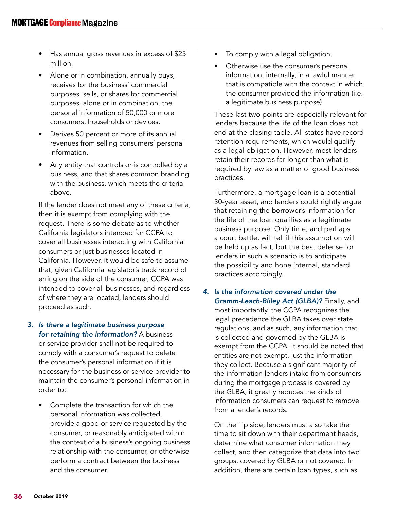- Has annual gross revenues in excess of \$25 million.
- Alone or in combination, annually buys, receives for the business' commercial purposes, sells, or shares for commercial purposes, alone or in combination, the personal information of 50,000 or more consumers, households or devices.
- Derives 50 percent or more of its annual revenues from selling consumers' personal information.
- Any entity that controls or is controlled by a business, and that shares common branding with the business, which meets the criteria above.

If the lender does not meet any of these criteria, then it is exempt from complying with the request. There is some debate as to whether California legislators intended for CCPA to cover all businesses interacting with California consumers or just businesses located in California. However, it would be safe to assume that, given California legislator's track record of erring on the side of the consumer, CCPA was intended to cover all businesses, and regardless of where they are located, lenders should proceed as such.

- *3. Is there a legitimate business purpose for retaining the information?* A business or service provider shall not be required to comply with a consumer's request to delete the consumer's personal information if it is necessary for the business or service provider to maintain the consumer's personal information in order to:
	- Complete the transaction for which the personal information was collected, provide a good or service requested by the consumer, or reasonably anticipated within the context of a business's ongoing business relationship with the consumer, or otherwise perform a contract between the business and the consumer.
- To comply with a legal obligation.
- Otherwise use the consumer's personal information, internally, in a lawful manner that is compatible with the context in which the consumer provided the information (i.e. a legitimate business purpose).

These last two points are especially relevant for lenders because the life of the loan does not end at the closing table. All states have record retention requirements, which would qualify as a legal obligation. However, most lenders retain their records far longer than what is required by law as a matter of good business practices.

Furthermore, a mortgage loan is a potential 30-year asset, and lenders could rightly argue that retaining the borrower's information for the life of the loan qualifies as a legitimate business purpose. Only time, and perhaps a court battle, will tell if this assumption will be held up as fact, but the best defense for lenders in such a scenario is to anticipate the possibility and hone internal, standard practices accordingly.

*4. Is the information covered under the Gramm-Leach-Bliley Act (GLBA)?* Finally, and most importantly, the CCPA recognizes the legal precedence the GLBA takes over state regulations, and as such, any information that is collected and governed by the GLBA is exempt from the CCPA. It should be noted that entities are not exempt, just the information they collect. Because a significant majority of the information lenders intake from consumers during the mortgage process is covered by the GLBA, it greatly reduces the kinds of information consumers can request to remove from a lender's records.

On the flip side, lenders must also take the time to sit down with their department heads, determine what consumer information they collect, and then categorize that data into two groups, covered by GLBA or not covered. In addition, there are certain loan types, such as